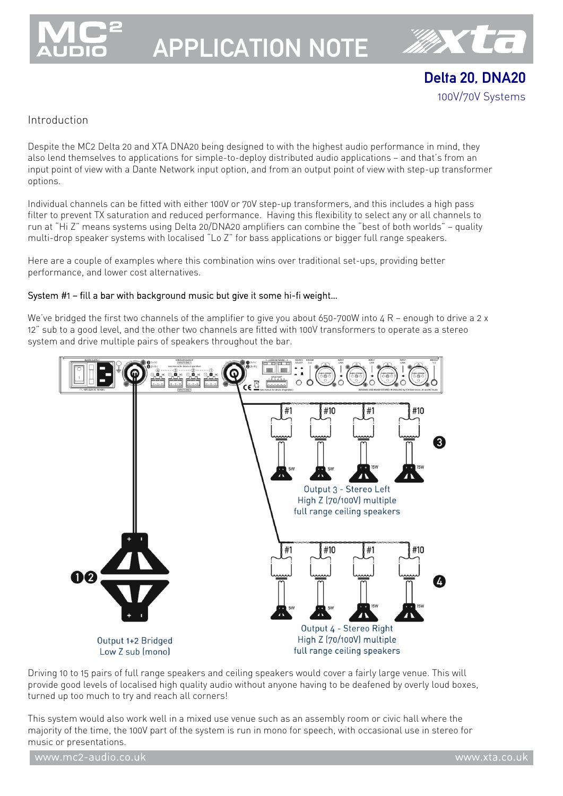

# APPLICATION NOTE



Delta 20, DNA20 100V/70V Systems

## Introduction

Despite the MC2 Delta 20 and XTA DNA20 being designed to with the highest audio performance in mind, they also lend themselves to applications for simple-to-deploy distributed audio applications — and that's from an input point of view with a Dante Network input option, and from an output point of view with step-up transformer options.

Individual channels can be fitted with either 100V or 70V step-up transformers, and this includes a high pass filter to prevent TX saturation and reduced performance. Having this flexibility to select any or all channels to run at "Hi Z" means systems using Delta 20/DNA20 amplifiers can combine the "best of both worlds" — quality multi-drop speaker systems with localised "Lo Z" for bass applications or bigger full range speakers.

Here are a couple of examples where this combination wins over traditional set-ups, providing better performance, and lower cost alternatives.

#### System #1 — fill a bar with background music but give it some hi-fi weight…

We've bridged the first two channels of the amplifier to give you about 650-700W into  $4 R$  – enough to drive a 2 x 12" sub to a good level, and the other two channels are fitted with 100V transformers to operate as a stereo system and drive multiple pairs of speakers throughout the bar.



Driving 10 to 15 pairs of full range speakers and ceiling speakers would cover a fairly large venue. This will provide good levels of localised high quality audio without anyone having to be deafened by overly loud boxes, turned up too much to try and reach all corners!

This system would also work well in a mixed use venue such as an assembly room or civic hall where the majority of the time, the 100V part of the system is run in mono for speech, with occasional use in stereo for music or presentations.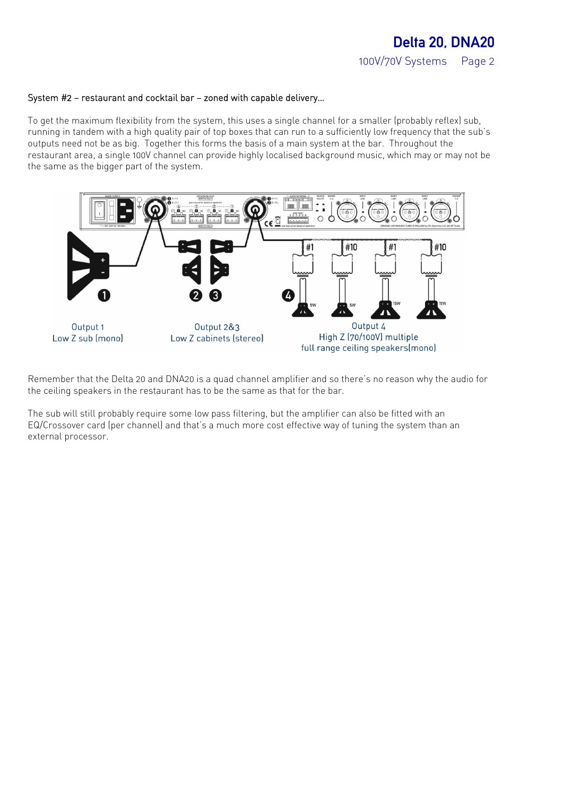#### System #2 — restaurant and cocktail bar — zoned with capable delivery…

To get the maximum flexibility from the system, this uses a single channel for a smaller (probably reflex) sub, running in tandem with a high quality pair of top boxes that can run to a sufficiently low frequency that the sub's outputs need not be as big. Together this forms the basis of a main system at the bar. Throughout the restaurant area, a single 100V channel can provide highly localised background music, which may or may not be the same as the bigger part of the system.



Remember that the Delta 20 and DNA20 is a quad channel amplifier and so there's no reason why the audio for the ceiling speakers in the restaurant has to be the same as that for the bar.

The sub will still probably require some low pass filtering, but the amplifier can also be fitted with an EQ/Crossover card (per channel) and that's a much more cost effective way of tuning the system than an external processor.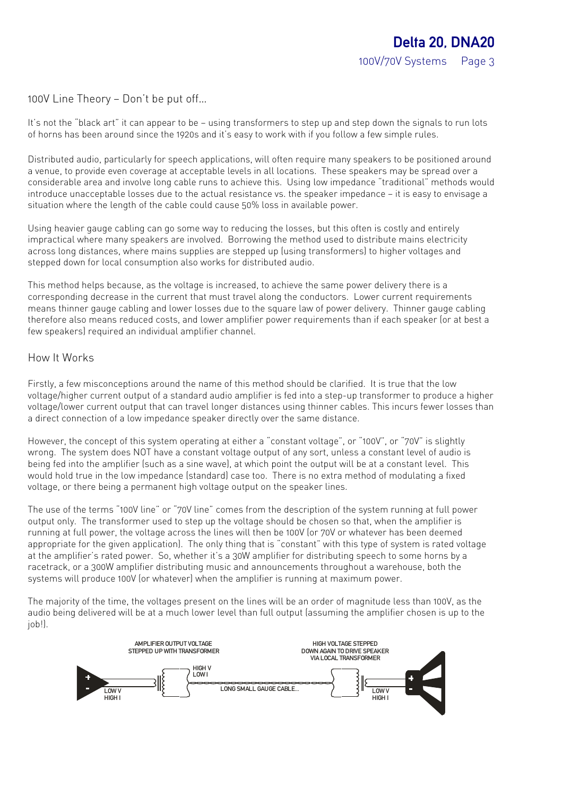100V Line Theory – Don't be put off...

It's not the "black art" it can appear to be – using transformers to step up and step down the signals to run lots of horns has been around since the 1920s and it's easy to work with if you follow a few simple rules.

Distributed audio, particularly for speech applications, will often require many speakers to be positioned around a venue, to provide even coverage at acceptable levels in all locations. These speakers may be spread over a considerable area and involve long cable runs to achieve this. Using low impedance "traditional" methods would introduce unacceptable losses due to the actual resistance vs. the speaker impedance — it is easy to envisage a situation where the length of the cable could cause 50% loss in available power.

Using heavier gauge cabling can go some way to reducing the losses, but this often is costly and entirely impractical where many speakers are involved. Borrowing the method used to distribute mains electricity across long distances, where mains supplies are stepped up (using transformers) to higher voltages and stepped down for local consumption also works for distributed audio.

This method helps because, as the voltage is increased, to achieve the same power delivery there is a corresponding decrease in the current that must travel along the conductors. Lower current requirements means thinner gauge cabling and lower losses due to the square law of power delivery. Thinner gauge cabling therefore also means reduced costs, and lower amplifier power requirements than if each speaker (or at best a few speakers) required an individual amplifier channel.

### How It Works

Firstly, a few misconceptions around the name of this method should be clarified. It is true that the low voltage/higher current output of a standard audio amplifier is fed into a step-up transformer to produce a higher voltage/lower current output that can travel longer distances using thinner cables. This incurs fewer losses than a direct connection of a low impedance speaker directly over the same distance.

However, the concept of this system operating at either a "constant voltage", or "100V", or "70V" is slightly wrong. The system does NOT have a constant voltage output of any sort, unless a constant level of audio is being fed into the amplifier (such as a sine wave), at which point the output will be at a constant level. This would hold true in the low impedance (standard) case too. There is no extra method of modulating a fixed voltage, or there being a permanent high voltage output on the speaker lines.

The use of the terms "100V line" or "70V line" comes from the description of the system running at full power output only. The transformer used to step up the voltage should be chosen so that, when the amplifier is running at full power, the voltage across the lines will then be 100V (or 70V or whatever has been deemed appropriate for the given application). The only thing that is "constant" with this type of system is rated voltage at the amplifier's rated power. So, whether it's a 30W amplifier for distributing speech to some horns by a racetrack, or a 300W amplifier distributing music and announcements throughout a warehouse, both the systems will produce 100V (or whatever) when the amplifier is running at maximum power.

The majority of the time, the voltages present on the lines will be an order of magnitude less than 100V, as the audio being delivered will be at a much lower level than full output (assuming the amplifier chosen is up to the job!).

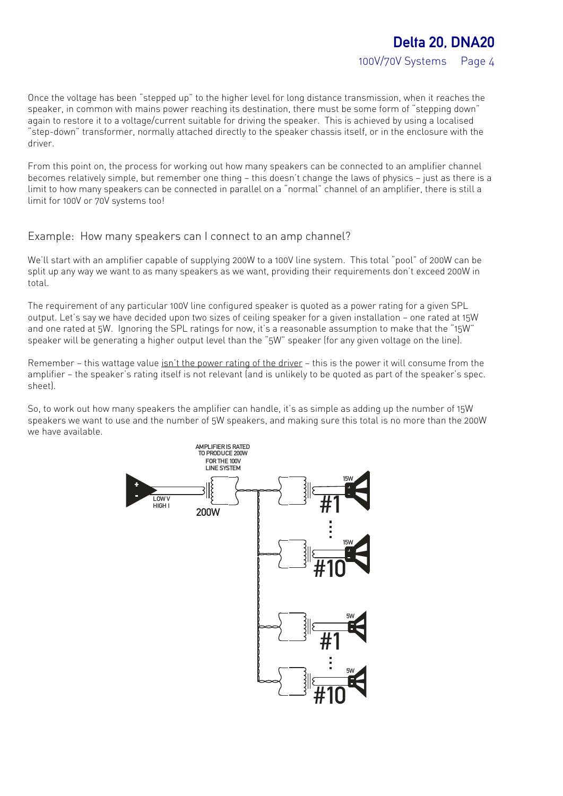Once the voltage has been "stepped up" to the higher level for long distance transmission, when it reaches the speaker, in common with mains power reaching its destination, there must be some form of "stepping down" again to restore it to a voltage/current suitable for driving the speaker. This is achieved by using a localised "step-down" transformer, normally attached directly to the speaker chassis itself, or in the enclosure with the driver.

From this point on, the process for working out how many speakers can be connected to an amplifier channel becomes relatively simple, but remember one thing — this doesn't change the laws of physics — just as there is a limit to how many speakers can be connected in parallel on a "normal" channel of an amplifier, there is still a limit for 100V or 70V systems too!

### Example: How many speakers can I connect to an amp channel?

We'll start with an amplifier capable of supplying 200W to a 100V line system. This total "pool" of 200W can be split up any way we want to as many speakers as we want, providing their requirements don't exceed 200W in total.

The requirement of any particular 100V line configured speaker is quoted as a power rating for a given SPL output. Let's say we have decided upon two sizes of ceiling speaker for a given installation — one rated at 15W and one rated at 5W. Ignoring the SPL ratings for now, it's a reasonable assumption to make that the "15W" speaker will be generating a higher output level than the "5W" speaker (for any given voltage on the line).

Remember – this wattage value isn't the power rating of the driver – this is the power it will consume from the amplifier — the speaker's rating itself is not relevant (and is unlikely to be quoted as part of the speaker's spec. sheet).

So, to work out how many speakers the amplifier can handle, it's as simple as adding up the number of 15W speakers we want to use and the number of 5W speakers, and making sure this total is no more than the 200W we have available.

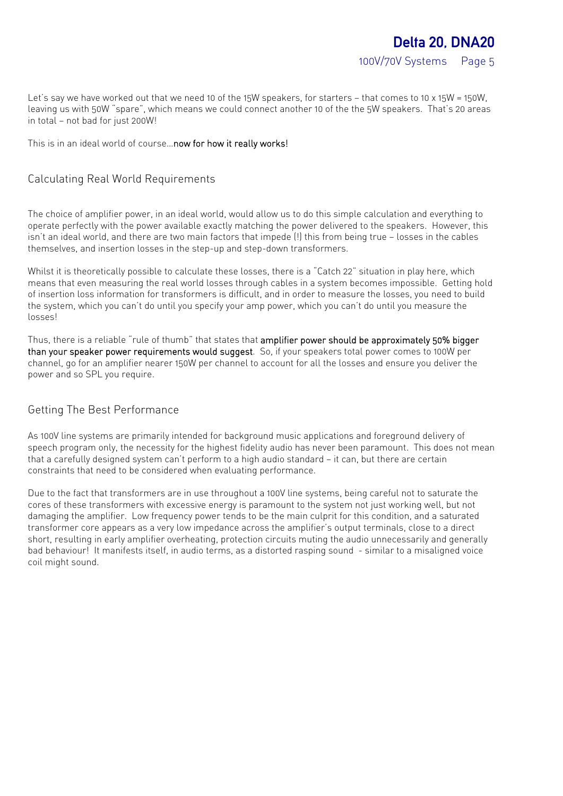100V/70V Systems Page 5

Let's say we have worked out that we need 10 of the 15W speakers, for starters - that comes to 10 x 15W = 150W, leaving us with 50W "spare", which means we could connect another 10 of the the 5W speakers. That's 20 areas in total — not bad for just 200W!

This is in an ideal world of course...now for how it really works!

### Calculating Real World Requirements

The choice of amplifier power, in an ideal world, would allow us to do this simple calculation and everything to operate perfectly with the power available exactly matching the power delivered to the speakers. However, this isn't an ideal world, and there are two main factors that impede (!) this from being true — losses in the cables themselves, and insertion losses in the step-up and step-down transformers.

Whilst it is theoretically possible to calculate these losses, there is a "Catch 22" situation in play here, which means that even measuring the real world losses through cables in a system becomes impossible. Getting hold of insertion loss information for transformers is difficult, and in order to measure the losses, you need to build the system, which you can't do until you specify your amp power, which you can't do until you measure the losses!

Thus, there is a reliable "rule of thumb" that states that amplifier power should be approximately 50% bigger than your speaker power requirements would suggest. So, if your speakers total power comes to 100W per channel, go for an amplifier nearer 150W per channel to account for all the losses and ensure you deliver the power and so SPL you require.

## Getting The Best Performance

As 100V line systems are primarily intended for background music applications and foreground delivery of speech program only, the necessity for the highest fidelity audio has never been paramount. This does not mean that a carefully designed system can't perform to a high audio standard — it can, but there are certain constraints that need to be considered when evaluating performance.

Due to the fact that transformers are in use throughout a 100V line systems, being careful not to saturate the cores of these transformers with excessive energy is paramount to the system not just working well, but not damaging the amplifier. Low frequency power tends to be the main culprit for this condition, and a saturated transformer core appears as a very low impedance across the amplifier's output terminals, close to a direct short, resulting in early amplifier overheating, protection circuits muting the audio unnecessarily and generally bad behaviour! It manifests itself, in audio terms, as a distorted rasping sound - similar to a misaligned voice coil might sound.